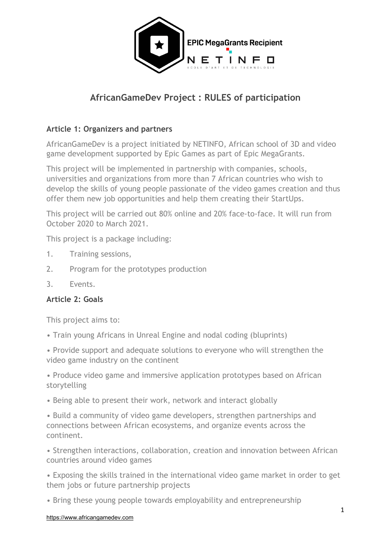

# **AfricanGameDev Project : RULES of participation**

# **Article 1: Organizers and partners**

AfricanGameDev is a project initiated by NETINFO, African school of 3D and video game development supported by Epic Games as part of Epic MegaGrants.

This project will be implemented in partnership with companies, schools, universities and organizations from more than 7 African countries who wish to develop the skills of young people passionate of the video games creation and thus offer them new job opportunities and help them creating their StartUps.

This project will be carried out 80% online and 20% face-to-face. It will run from October 2020 to March 2021.

This project is a package including:

- 1. Training sessions,
- 2. Program for the prototypes production
- 3. Events.

## **Article 2: Goals**

This project aims to:

• Train young Africans in Unreal Engine and nodal coding (bluprints)

• Provide support and adequate solutions to everyone who will strengthen the video game industry on the continent

• Produce video game and immersive application prototypes based on African storytelling

• Being able to present their work, network and interact globally

• Build a community of video game developers, strengthen partnerships and connections between African ecosystems, and organize events across the continent.

• Strengthen interactions, collaboration, creation and innovation between African countries around video games

• Exposing the skills trained in the international video game market in order to get them jobs or future partnership projects

• Bring these young people towards employability and entrepreneurship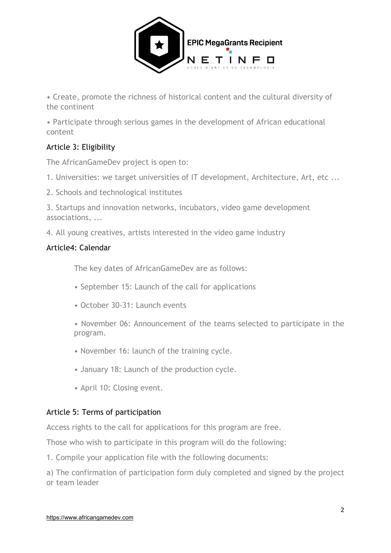

• Create, promote the richness of historical content and the cultural diversity of the continent

• Participate through serious games in the development of African educational content

# Article 3: Eligibility

The AfricanGameDev project is open to:

1. Universities: we target universities of IT development, Architecture, Art, etc ...

2. Schools and technological institutes

3. Startups and innovation networks, incubators, video game development associations, ...

4. All young creatives, artists interested in the video game industry

## Article4: Calendar

The key dates of AfricanGameDev are as follows:

- September 15: Launch of the call for applications
- October 30-31: Launch events

• November 06: Announcement of the teams selected to participate in the program.

- November 16: launch of the training cycle.
- January 18: Launch of the production cycle.
- April 10: Closing event.

# Article 5: Terms of participation

Access rights to the call for applications for this program are free.

Those who wish to participate in this program will do the following:

1. Compile your application file with the following documents:

a) The confirmation of participation form duly completed and signed by the project or team leader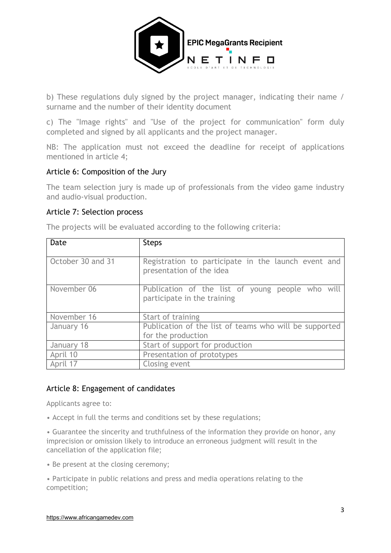

b) These regulations duly signed by the project manager, indicating their name / surname and the number of their identity document

c) The "Image rights" and "Use of the project for communication" form duly completed and signed by all applicants and the project manager.

NB: The application must not exceed the deadline for receipt of applications mentioned in article 4;

#### Article 6: Composition of the Jury

The team selection jury is made up of professionals from the video game industry and audio-visual production.

#### Article 7: Selection process

| Date              | <b>Steps</b>                                                                    |
|-------------------|---------------------------------------------------------------------------------|
| October 30 and 31 | Registration to participate in the launch event and<br>presentation of the idea |
| November 06       | Publication of the list of young people who will<br>participate in the training |
| November 16       | Start of training                                                               |
| January 16        | Publication of the list of teams who will be supported                          |
|                   | for the production                                                              |
| January 18        | Start of support for production                                                 |
| April 10          | Presentation of prototypes                                                      |
| April 17          | Closing event                                                                   |

The projects will be evaluated according to the following criteria:

#### Article 8: Engagement of candidates

Applicants agree to:

• Accept in full the terms and conditions set by these regulations;

• Guarantee the sincerity and truthfulness of the information they provide on honor, any imprecision or omission likely to introduce an erroneous judgment will result in the cancellation of the application file;

• Be present at the closing ceremony;

• Participate in public relations and press and media operations relating to the competition;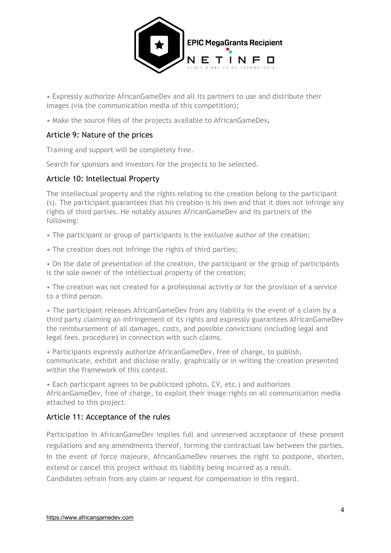

• Expressly authorize AfricanGameDev and all its partners to use and distribute their images (via the communication media of this competition);

• Make the source files of the projects available to AfricanGameDev**.**

#### Article 9: Nature of the prices

Training and support will be completely free.

Search for sponsors and investors for the projects to be selected.

#### Article 10: Intellectual Property

The intellectual property and the rights relating to the creation belong to the participant (s). The participant guarantees that his creation is his own and that it does not infringe any rights of third parties. He notably assures AfricanGameDev and its partners of the following:

• The participant or group of participants is the exclusive author of the creation;

• The creation does not infringe the rights of third parties;

• On the date of presentation of the creation, the participant or the group of participants is the sole owner of the intellectual property of the creation;

• The creation was not created for a professional activity or for the provision of a service to a third person.

• The participant releases AfricanGameDev from any liability in the event of a claim by a third party claiming an infringement of its rights and expressly guarantees AfricanGameDev the reimbursement of all damages, costs, and possible convictions (including legal and legal fees. procedure) in connection with such claims.

• Participants expressly authorize AfricanGameDev, free of charge, to publish, communicate, exhibit and disclose orally, graphically or in writing the creation presented within the framework of this contest.

• Each participant agrees to be publicized (photo, CV, etc.) and authorizes AfricanGameDev, free of charge, to exploit their image rights on all communication media attached to this project.

## Article 11: Acceptance of the rules

Participation in AfricanGameDev implies full and unreserved acceptance of these present regulations and any amendments thereof, forming the contractual law between the parties. In the event of force majeure, AfricanGameDev reserves the right to postpone, shorten, extend or cancel this project without its liability being incurred as a result.

Candidates refrain from any claim or request for compensation in this regard.